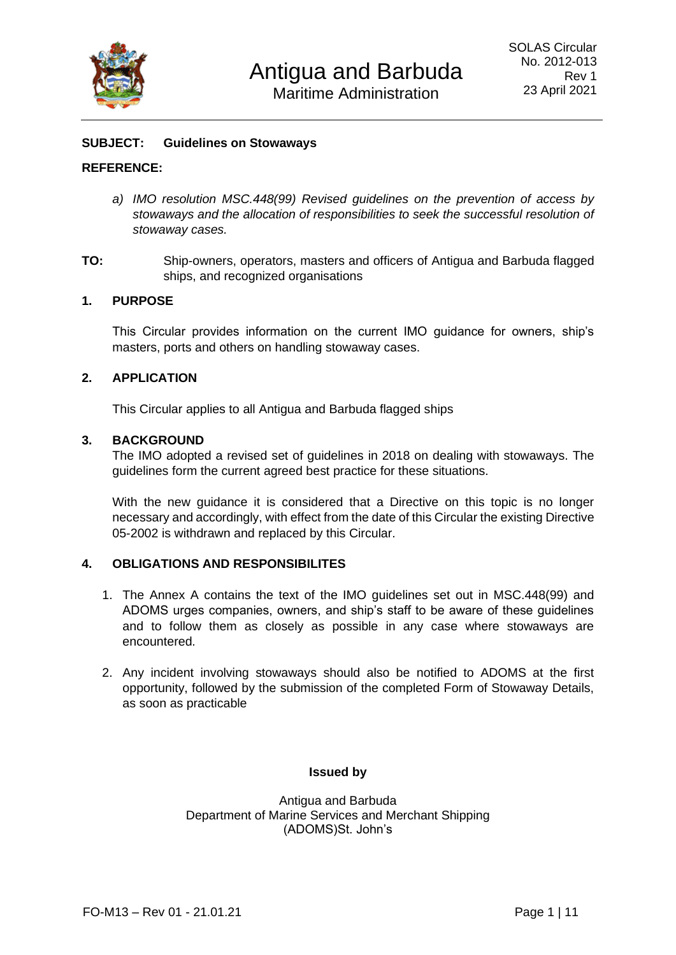

# **SUBJECT: Guidelines on Stowaways**

## **REFERENCE:**

- *a) IMO resolution MSC.448(99) Revised guidelines on the prevention of access by stowaways and the allocation of responsibilities to seek the successful resolution of stowaway cases.*
- **TO:** Ship-owners, operators, masters and officers of Antigua and Barbuda flagged ships, and recognized organisations

## **1. PURPOSE**

This Circular provides information on the current IMO guidance for owners, ship's masters, ports and others on handling stowaway cases.

# **2. APPLICATION**

This Circular applies to all Antigua and Barbuda flagged ships

## **3. BACKGROUND**

The IMO adopted a revised set of guidelines in 2018 on dealing with stowaways. The guidelines form the current agreed best practice for these situations.

With the new guidance it is considered that a Directive on this topic is no longer necessary and accordingly, with effect from the date of this Circular the existing Directive 05-2002 is withdrawn and replaced by this Circular.

## **4. OBLIGATIONS AND RESPONSIBILITES**

- 1. The Annex A contains the text of the IMO guidelines set out in MSC.448(99) and ADOMS urges companies, owners, and ship's staff to be aware of these guidelines and to follow them as closely as possible in any case where stowaways are encountered.
- 2. Any incident involving stowaways should also be notified to ADOMS at the first opportunity, followed by the submission of the completed Form of Stowaway Details, as soon as practicable

## **Issued by**

Antigua and Barbuda Department of Marine Services and Merchant Shipping (ADOMS)St. John's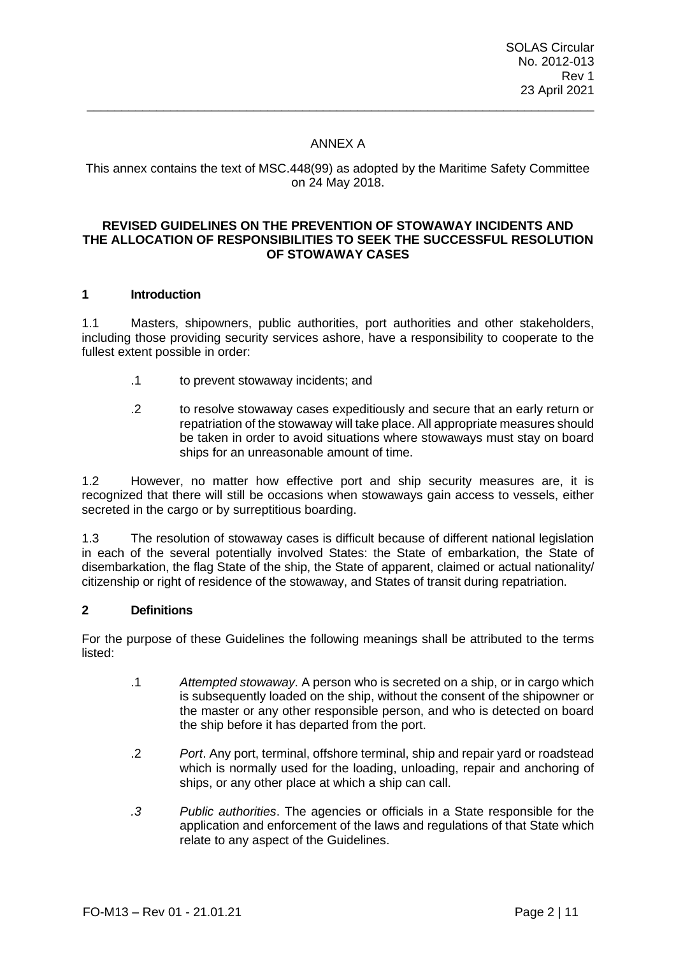# ANNEX A

\_\_\_\_\_\_\_\_\_\_\_\_\_\_\_\_\_\_\_\_\_\_\_\_\_\_\_\_\_\_\_\_\_\_\_\_\_\_\_\_\_\_\_\_\_\_\_\_\_\_\_\_\_\_\_\_\_\_\_\_\_\_\_\_\_\_\_\_\_\_\_\_\_

## This annex contains the text of MSC.448(99) as adopted by the Maritime Safety Committee on 24 May 2018.

#### **REVISED GUIDELINES ON THE PREVENTION OF STOWAWAY INCIDENTS AND THE ALLOCATION OF RESPONSIBILITIES TO SEEK THE SUCCESSFUL RESOLUTION OF STOWAWAY CASES**

#### **1 Introduction**

1.1 Masters, shipowners, public authorities, port authorities and other stakeholders, including those providing security services ashore, have a responsibility to cooperate to the fullest extent possible in order:

- .1 to prevent stowaway incidents; and
- .2 to resolve stowaway cases expeditiously and secure that an early return or repatriation of the stowaway will take place. All appropriate measures should be taken in order to avoid situations where stowaways must stay on board ships for an unreasonable amount of time.

1.2 However, no matter how effective port and ship security measures are, it is recognized that there will still be occasions when stowaways gain access to vessels, either secreted in the cargo or by surreptitious boarding.

1.3 The resolution of stowaway cases is difficult because of different national legislation in each of the several potentially involved States: the State of embarkation, the State of disembarkation, the flag State of the ship, the State of apparent, claimed or actual nationality/ citizenship or right of residence of the stowaway, and States of transit during repatriation.

#### **2 Definitions**

For the purpose of these Guidelines the following meanings shall be attributed to the terms listed:

- .1 *Attempted stowaway*. A person who is secreted on a ship, or in cargo which is subsequently loaded on the ship, without the consent of the shipowner or the master or any other responsible person, and who is detected on board the ship before it has departed from the port.
- .2 *Port*. Any port, terminal, offshore terminal, ship and repair yard or roadstead which is normally used for the loading, unloading, repair and anchoring of ships, or any other place at which a ship can call.
- *.3 Public authorities*. The agencies or officials in a State responsible for the application and enforcement of the laws and regulations of that State which relate to any aspect of the Guidelines.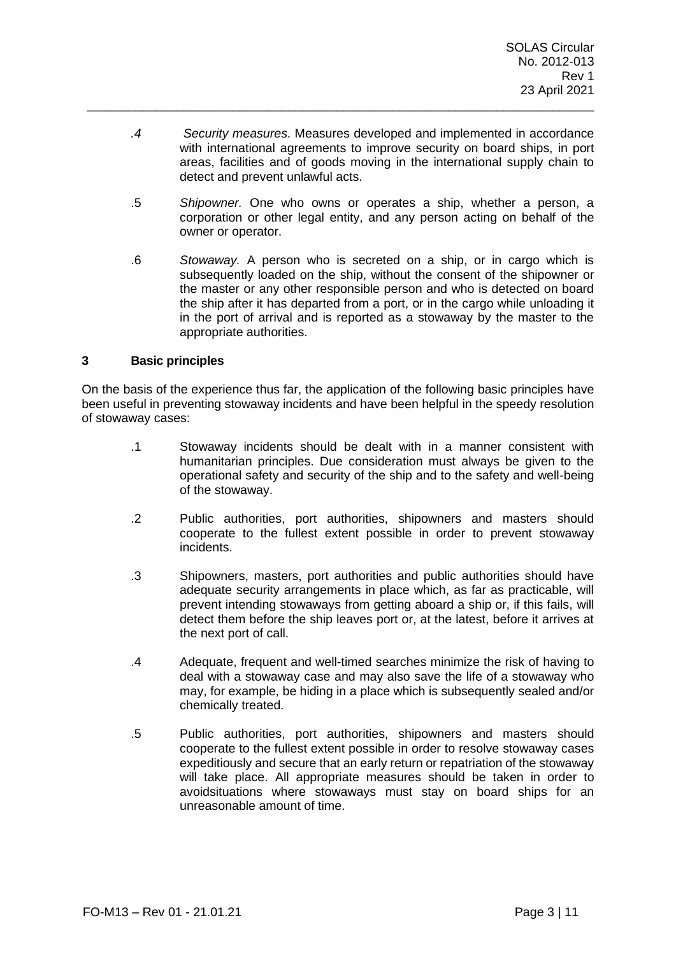*.4 Security measures*. Measures developed and implemented in accordance with international agreements to improve security on board ships, in port areas, facilities and of goods moving in the international supply chain to detect and prevent unlawful acts.

\_\_\_\_\_\_\_\_\_\_\_\_\_\_\_\_\_\_\_\_\_\_\_\_\_\_\_\_\_\_\_\_\_\_\_\_\_\_\_\_\_\_\_\_\_\_\_\_\_\_\_\_\_\_\_\_\_\_\_\_\_\_\_\_\_\_\_\_\_\_\_\_\_

- .5 *Shipowner.* One who owns or operates a ship, whether a person, a corporation or other legal entity, and any person acting on behalf of the owner or operator.
- .6 *Stowaway.* A person who is secreted on a ship, or in cargo which is subsequently loaded on the ship, without the consent of the shipowner or the master or any other responsible person and who is detected on board the ship after it has departed from a port, or in the cargo while unloading it in the port of arrival and is reported as a stowaway by the master to the appropriate authorities.

#### **3 Basic principles**

On the basis of the experience thus far, the application of the following basic principles have been useful in preventing stowaway incidents and have been helpful in the speedy resolution of stowaway cases:

- .1 Stowaway incidents should be dealt with in a manner consistent with humanitarian principles. Due consideration must always be given to the operational safety and security of the ship and to the safety and well-being of the stowaway.
- .2 Public authorities, port authorities, shipowners and masters should cooperate to the fullest extent possible in order to prevent stowaway incidents.
- .3 Shipowners, masters, port authorities and public authorities should have adequate security arrangements in place which, as far as practicable, will prevent intending stowaways from getting aboard a ship or, if this fails, will detect them before the ship leaves port or, at the latest, before it arrives at the next port of call.
- .4 Adequate, frequent and well-timed searches minimize the risk of having to deal with a stowaway case and may also save the life of a stowaway who may, for example, be hiding in a place which is subsequently sealed and/or chemically treated.
- .5 Public authorities, port authorities, shipowners and masters should cooperate to the fullest extent possible in order to resolve stowaway cases expeditiously and secure that an early return or repatriation of the stowaway will take place. All appropriate measures should be taken in order to avoidsituations where stowaways must stay on board ships for an unreasonable amount of time.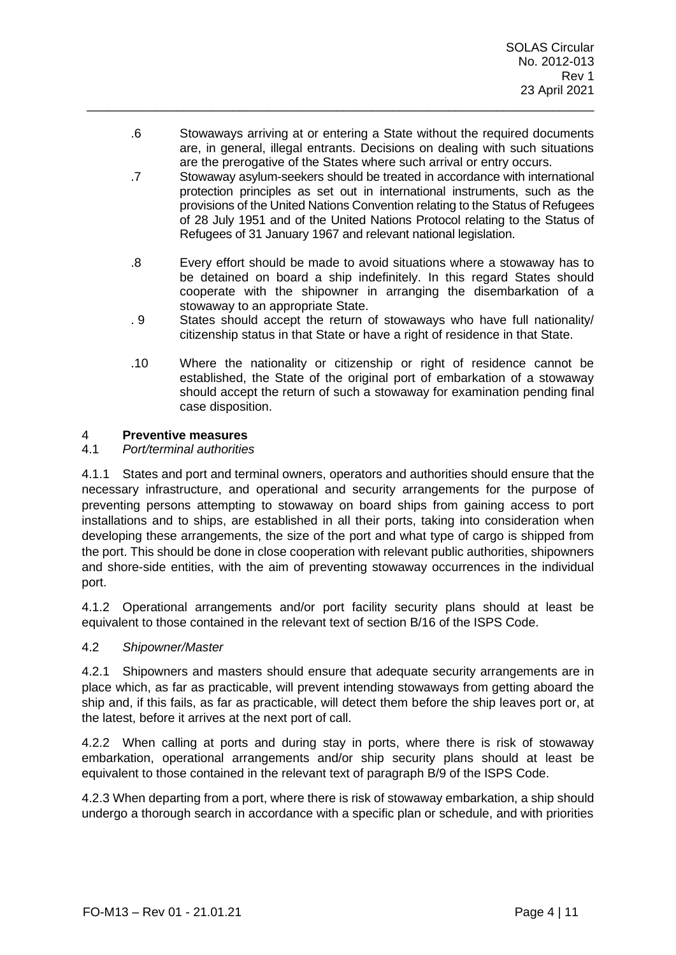.6 Stowaways arriving at or entering a State without the required documents are, in general, illegal entrants. Decisions on dealing with such situations are the prerogative of the States where such arrival or entry occurs.

\_\_\_\_\_\_\_\_\_\_\_\_\_\_\_\_\_\_\_\_\_\_\_\_\_\_\_\_\_\_\_\_\_\_\_\_\_\_\_\_\_\_\_\_\_\_\_\_\_\_\_\_\_\_\_\_\_\_\_\_\_\_\_\_\_\_\_\_\_\_\_\_\_

- .7 Stowaway asylum-seekers should be treated in accordance with international protection principles as set out in international instruments, such as the provisions of the United Nations Convention relating to the Status of Refugees of 28 July 1951 and of the United Nations Protocol relating to the Status of Refugees of 31 January 1967 and relevant national legislation.
- .8 Every effort should be made to avoid situations where a stowaway has to be detained on board a ship indefinitely. In this regard States should cooperate with the shipowner in arranging the disembarkation of a stowaway to an appropriate State.
- . 9 States should accept the return of stowaways who have full nationality/ citizenship status in that State or have a right of residence in that State.
- .10 Where the nationality or citizenship or right of residence cannot be established, the State of the original port of embarkation of a stowaway should accept the return of such a stowaway for examination pending final case disposition.

# 4 **Preventive measures**

## 4.1 *Port/terminal authorities*

4.1.1 States and port and terminal owners, operators and authorities should ensure that the necessary infrastructure, and operational and security arrangements for the purpose of preventing persons attempting to stowaway on board ships from gaining access to port installations and to ships, are established in all their ports, taking into consideration when developing these arrangements, the size of the port and what type of cargo is shipped from the port. This should be done in close cooperation with relevant public authorities, shipowners and shore-side entities, with the aim of preventing stowaway occurrences in the individual port.

4.1.2 Operational arrangements and/or port facility security plans should at least be equivalent to those contained in the relevant text of section B/16 of the ISPS Code.

## 4.2 *Shipowner/Master*

4.2.1 Shipowners and masters should ensure that adequate security arrangements are in place which, as far as practicable, will prevent intending stowaways from getting aboard the ship and, if this fails, as far as practicable, will detect them before the ship leaves port or, at the latest, before it arrives at the next port of call.

4.2.2 When calling at ports and during stay in ports, where there is risk of stowaway embarkation, operational arrangements and/or ship security plans should at least be equivalent to those contained in the relevant text of paragraph B/9 of the ISPS Code.

4.2.3 When departing from a port, where there is risk of stowaway embarkation, a ship should undergo a thorough search in accordance with a specific plan or schedule, and with priorities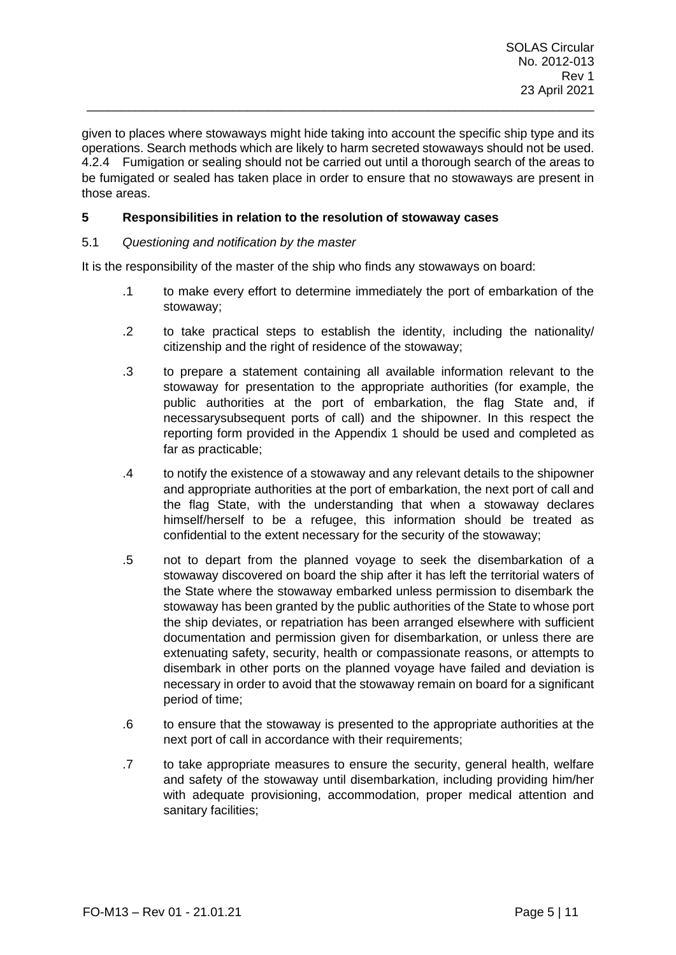given to places where stowaways might hide taking into account the specific ship type and its operations. Search methods which are likely to harm secreted stowaways should not be used. 4.2.4 Fumigation or sealing should not be carried out until a thorough search of the areas to be fumigated or sealed has taken place in order to ensure that no stowaways are present in those areas.

\_\_\_\_\_\_\_\_\_\_\_\_\_\_\_\_\_\_\_\_\_\_\_\_\_\_\_\_\_\_\_\_\_\_\_\_\_\_\_\_\_\_\_\_\_\_\_\_\_\_\_\_\_\_\_\_\_\_\_\_\_\_\_\_\_\_\_\_\_\_\_\_\_

# **5 Responsibilities in relation to the resolution of stowaway cases**

## 5.1 *Questioning and notification by the master*

It is the responsibility of the master of the ship who finds any stowaways on board:

- .1 to make every effort to determine immediately the port of embarkation of the stowaway;
- .2 to take practical steps to establish the identity, including the nationality/ citizenship and the right of residence of the stowaway;
- .3 to prepare a statement containing all available information relevant to the stowaway for presentation to the appropriate authorities (for example, the public authorities at the port of embarkation, the flag State and, if necessarysubsequent ports of call) and the shipowner. In this respect the reporting form provided in the Appendix 1 should be used and completed as far as practicable;
- .4 to notify the existence of a stowaway and any relevant details to the shipowner and appropriate authorities at the port of embarkation, the next port of call and the flag State, with the understanding that when a stowaway declares himself/herself to be a refugee, this information should be treated as confidential to the extent necessary for the security of the stowaway;
- .5 not to depart from the planned voyage to seek the disembarkation of a stowaway discovered on board the ship after it has left the territorial waters of the State where the stowaway embarked unless permission to disembark the stowaway has been granted by the public authorities of the State to whose port the ship deviates, or repatriation has been arranged elsewhere with sufficient documentation and permission given for disembarkation, or unless there are extenuating safety, security, health or compassionate reasons, or attempts to disembark in other ports on the planned voyage have failed and deviation is necessary in order to avoid that the stowaway remain on board for a significant period of time;
- .6 to ensure that the stowaway is presented to the appropriate authorities at the next port of call in accordance with their requirements;
- .7 to take appropriate measures to ensure the security, general health, welfare and safety of the stowaway until disembarkation, including providing him/her with adequate provisioning, accommodation, proper medical attention and sanitary facilities;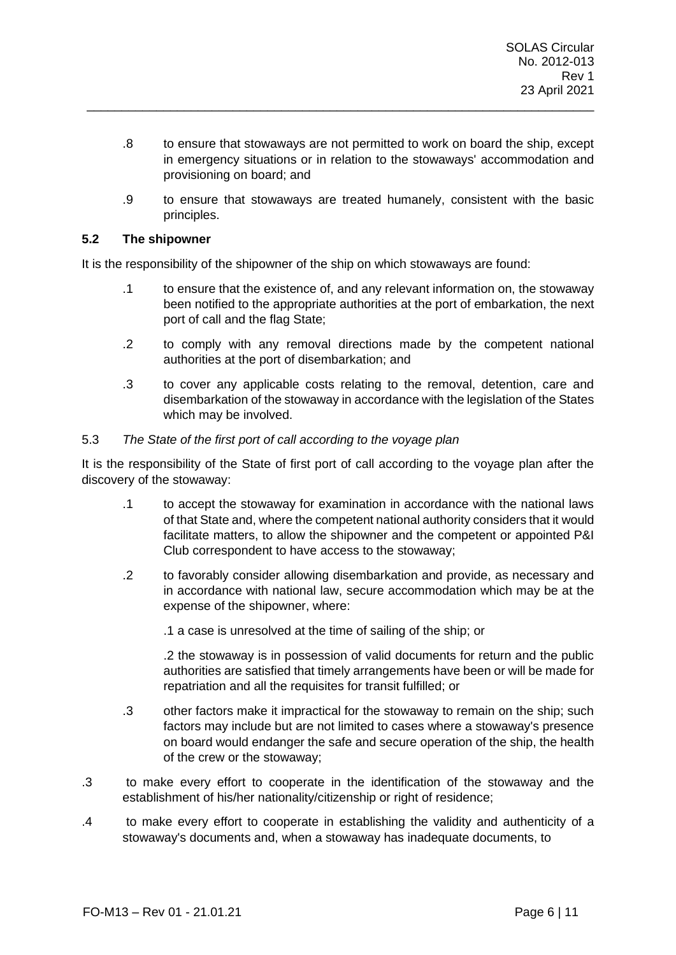.8 to ensure that stowaways are not permitted to work on board the ship, except in emergency situations or in relation to the stowaways' accommodation and provisioning on board; and

\_\_\_\_\_\_\_\_\_\_\_\_\_\_\_\_\_\_\_\_\_\_\_\_\_\_\_\_\_\_\_\_\_\_\_\_\_\_\_\_\_\_\_\_\_\_\_\_\_\_\_\_\_\_\_\_\_\_\_\_\_\_\_\_\_\_\_\_\_\_\_\_\_

.9 to ensure that stowaways are treated humanely, consistent with the basic principles.

#### **5.2 The shipowner**

It is the responsibility of the shipowner of the ship on which stowaways are found:

- .1 to ensure that the existence of, and any relevant information on, the stowaway been notified to the appropriate authorities at the port of embarkation, the next port of call and the flag State;
- .2 to comply with any removal directions made by the competent national authorities at the port of disembarkation; and
- .3 to cover any applicable costs relating to the removal, detention, care and disembarkation of the stowaway in accordance with the legislation of the States which may be involved.

#### 5.3 *The State of the first port of call according to the voyage plan*

It is the responsibility of the State of first port of call according to the voyage plan after the discovery of the stowaway:

- .1 to accept the stowaway for examination in accordance with the national laws of that State and, where the competent national authority considers that it would facilitate matters, to allow the shipowner and the competent or appointed P&I Club correspondent to have access to the stowaway;
- .2 to favorably consider allowing disembarkation and provide, as necessary and in accordance with national law, secure accommodation which may be at the expense of the shipowner, where:
	- .1 a case is unresolved at the time of sailing of the ship; or

.2 the stowaway is in possession of valid documents for return and the public authorities are satisfied that timely arrangements have been or will be made for repatriation and all the requisites for transit fulfilled; or

- .3 other factors make it impractical for the stowaway to remain on the ship; such factors may include but are not limited to cases where a stowaway's presence on board would endanger the safe and secure operation of the ship, the health of the crew or the stowaway;
- .3 to make every effort to cooperate in the identification of the stowaway and the establishment of his/her nationality/citizenship or right of residence;
- .4 to make every effort to cooperate in establishing the validity and authenticity of a stowaway's documents and, when a stowaway has inadequate documents, to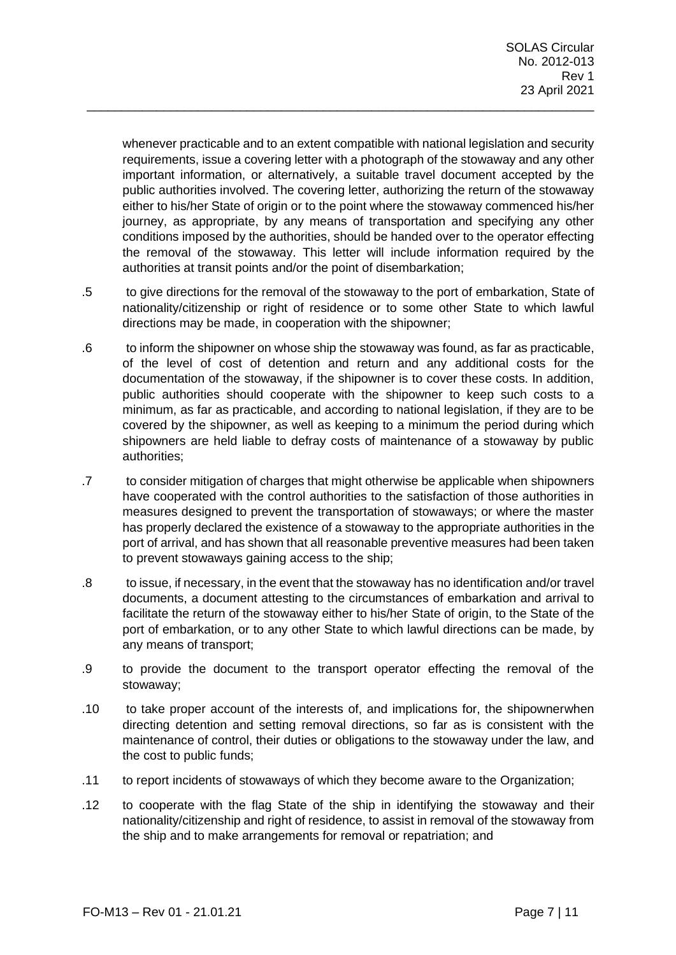whenever practicable and to an extent compatible with national legislation and security requirements, issue a covering letter with a photograph of the stowaway and any other important information, or alternatively, a suitable travel document accepted by the public authorities involved. The covering letter, authorizing the return of the stowaway either to his/her State of origin or to the point where the stowaway commenced his/her journey, as appropriate, by any means of transportation and specifying any other conditions imposed by the authorities, should be handed over to the operator effecting the removal of the stowaway. This letter will include information required by the authorities at transit points and/or the point of disembarkation;

\_\_\_\_\_\_\_\_\_\_\_\_\_\_\_\_\_\_\_\_\_\_\_\_\_\_\_\_\_\_\_\_\_\_\_\_\_\_\_\_\_\_\_\_\_\_\_\_\_\_\_\_\_\_\_\_\_\_\_\_\_\_\_\_\_\_\_\_\_\_\_\_\_

- .5 to give directions for the removal of the stowaway to the port of embarkation, State of nationality/citizenship or right of residence or to some other State to which lawful directions may be made, in cooperation with the shipowner;
- .6 to inform the shipowner on whose ship the stowaway was found, as far as practicable, of the level of cost of detention and return and any additional costs for the documentation of the stowaway, if the shipowner is to cover these costs. In addition, public authorities should cooperate with the shipowner to keep such costs to a minimum, as far as practicable, and according to national legislation, if they are to be covered by the shipowner, as well as keeping to a minimum the period during which shipowners are held liable to defray costs of maintenance of a stowaway by public authorities;
- .7 to consider mitigation of charges that might otherwise be applicable when shipowners have cooperated with the control authorities to the satisfaction of those authorities in measures designed to prevent the transportation of stowaways; or where the master has properly declared the existence of a stowaway to the appropriate authorities in the port of arrival, and has shown that all reasonable preventive measures had been taken to prevent stowaways gaining access to the ship;
- .8 to issue, if necessary, in the event that the stowaway has no identification and/or travel documents, a document attesting to the circumstances of embarkation and arrival to facilitate the return of the stowaway either to his/her State of origin, to the State of the port of embarkation, or to any other State to which lawful directions can be made, by any means of transport;
- .9 to provide the document to the transport operator effecting the removal of the stowaway;
- .10 to take proper account of the interests of, and implications for, the shipownerwhen directing detention and setting removal directions, so far as is consistent with the maintenance of control, their duties or obligations to the stowaway under the law, and the cost to public funds;
- .11 to report incidents of stowaways of which they become aware to the Organization;
- .12 to cooperate with the flag State of the ship in identifying the stowaway and their nationality/citizenship and right of residence, to assist in removal of the stowaway from the ship and to make arrangements for removal or repatriation; and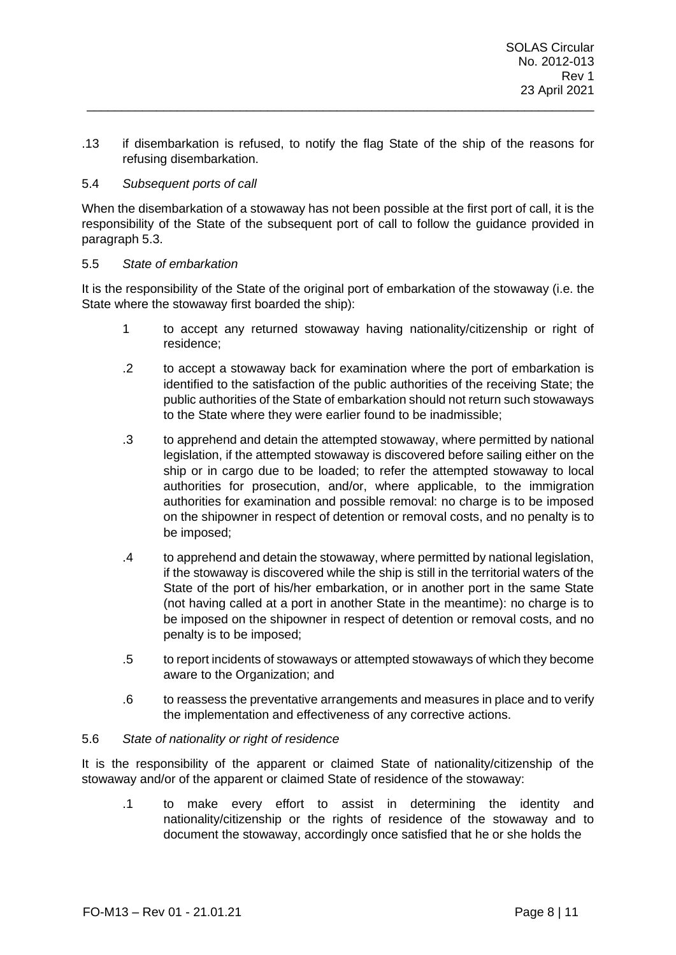.13 if disembarkation is refused, to notify the flag State of the ship of the reasons for refusing disembarkation.

\_\_\_\_\_\_\_\_\_\_\_\_\_\_\_\_\_\_\_\_\_\_\_\_\_\_\_\_\_\_\_\_\_\_\_\_\_\_\_\_\_\_\_\_\_\_\_\_\_\_\_\_\_\_\_\_\_\_\_\_\_\_\_\_\_\_\_\_\_\_\_\_\_

#### 5.4 *Subsequent ports of call*

When the disembarkation of a stowaway has not been possible at the first port of call, it is the responsibility of the State of the subsequent port of call to follow the guidance provided in paragraph 5.3.

#### 5.5 *State of embarkation*

It is the responsibility of the State of the original port of embarkation of the stowaway (i.e. the State where the stowaway first boarded the ship):

- 1 to accept any returned stowaway having nationality/citizenship or right of residence;
- .2 to accept a stowaway back for examination where the port of embarkation is identified to the satisfaction of the public authorities of the receiving State; the public authorities of the State of embarkation should not return such stowaways to the State where they were earlier found to be inadmissible;
- .3 to apprehend and detain the attempted stowaway, where permitted by national legislation, if the attempted stowaway is discovered before sailing either on the ship or in cargo due to be loaded; to refer the attempted stowaway to local authorities for prosecution, and/or, where applicable, to the immigration authorities for examination and possible removal: no charge is to be imposed on the shipowner in respect of detention or removal costs, and no penalty is to be imposed;
- .4 to apprehend and detain the stowaway, where permitted by national legislation, if the stowaway is discovered while the ship is still in the territorial waters of the State of the port of his/her embarkation, or in another port in the same State (not having called at a port in another State in the meantime): no charge is to be imposed on the shipowner in respect of detention or removal costs, and no penalty is to be imposed;
- .5 to report incidents of stowaways or attempted stowaways of which they become aware to the Organization; and
- .6 to reassess the preventative arrangements and measures in place and to verify the implementation and effectiveness of any corrective actions.

## 5.6 *State of nationality or right of residence*

It is the responsibility of the apparent or claimed State of nationality/citizenship of the stowaway and/or of the apparent or claimed State of residence of the stowaway:

.1 to make every effort to assist in determining the identity and nationality/citizenship or the rights of residence of the stowaway and to document the stowaway, accordingly once satisfied that he or she holds the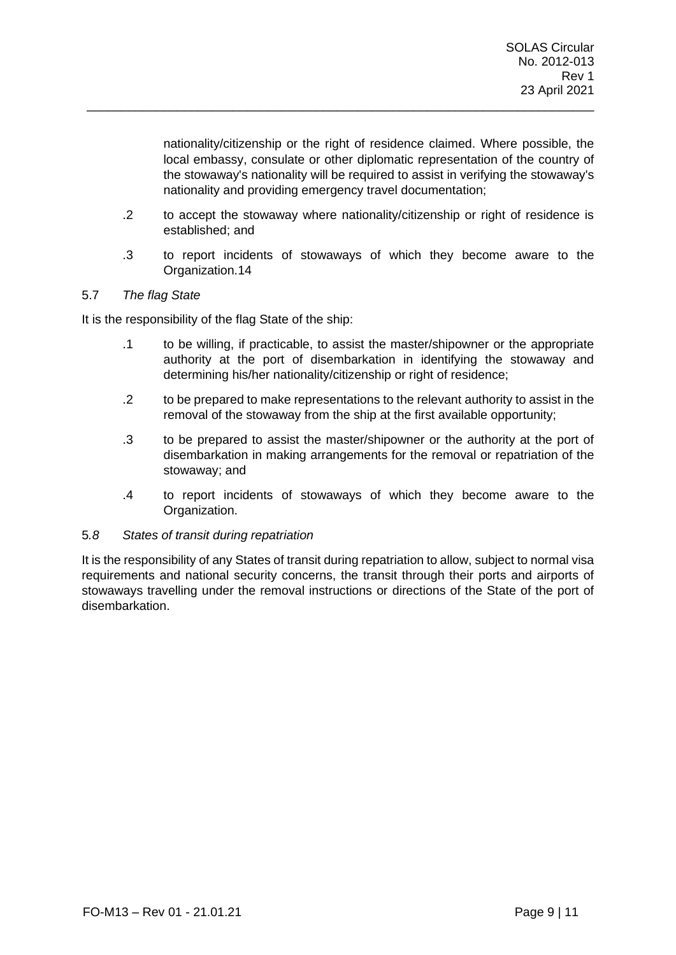nationality/citizenship or the right of residence claimed. Where possible, the local embassy, consulate or other diplomatic representation of the country of the stowaway's nationality will be required to assist in verifying the stowaway's nationality and providing emergency travel documentation;

.2 to accept the stowaway where nationality/citizenship or right of residence is established; and

\_\_\_\_\_\_\_\_\_\_\_\_\_\_\_\_\_\_\_\_\_\_\_\_\_\_\_\_\_\_\_\_\_\_\_\_\_\_\_\_\_\_\_\_\_\_\_\_\_\_\_\_\_\_\_\_\_\_\_\_\_\_\_\_\_\_\_\_\_\_\_\_\_

.3 to report incidents of stowaways of which they become aware to the Organization.14

## 5.7 *The flag State*

It is the responsibility of the flag State of the ship:

- .1 to be willing, if practicable, to assist the master/shipowner or the appropriate authority at the port of disembarkation in identifying the stowaway and determining his/her nationality/citizenship or right of residence;
- .2 to be prepared to make representations to the relevant authority to assist in the removal of the stowaway from the ship at the first available opportunity;
- .3 to be prepared to assist the master/shipowner or the authority at the port of disembarkation in making arrangements for the removal or repatriation of the stowaway; and
- .4 to report incidents of stowaways of which they become aware to the Organization.

## 5*.8 States of transit during repatriation*

It is the responsibility of any States of transit during repatriation to allow, subject to normal visa requirements and national security concerns, the transit through their ports and airports of stowaways travelling under the removal instructions or directions of the State of the port of disembarkation.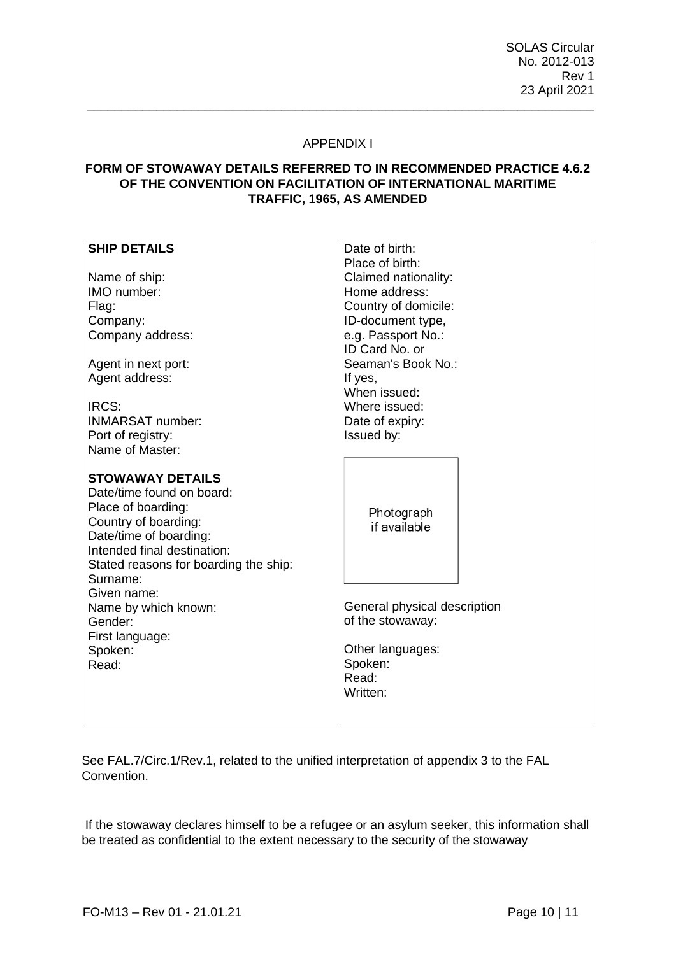## APPENDIX I

\_\_\_\_\_\_\_\_\_\_\_\_\_\_\_\_\_\_\_\_\_\_\_\_\_\_\_\_\_\_\_\_\_\_\_\_\_\_\_\_\_\_\_\_\_\_\_\_\_\_\_\_\_\_\_\_\_\_\_\_\_\_\_\_\_\_\_\_\_\_\_\_\_

# **FORM OF STOWAWAY DETAILS REFERRED TO IN RECOMMENDED PRACTICE 4.6.2 OF THE CONVENTION ON FACILITATION OF INTERNATIONAL MARITIME TRAFFIC, 1965, AS AMENDED**

| <b>SHIP DETAILS</b>                                                                                                                                                                                                                                                                                       | Date of birth:                                                                                                                     |
|-----------------------------------------------------------------------------------------------------------------------------------------------------------------------------------------------------------------------------------------------------------------------------------------------------------|------------------------------------------------------------------------------------------------------------------------------------|
|                                                                                                                                                                                                                                                                                                           | Place of birth:                                                                                                                    |
| Name of ship:                                                                                                                                                                                                                                                                                             | Claimed nationality:                                                                                                               |
| IMO number:                                                                                                                                                                                                                                                                                               | Home address:                                                                                                                      |
| Flag:                                                                                                                                                                                                                                                                                                     | Country of domicile:                                                                                                               |
| Company:                                                                                                                                                                                                                                                                                                  | ID-document type,                                                                                                                  |
| Company address:                                                                                                                                                                                                                                                                                          | e.g. Passport No.:                                                                                                                 |
|                                                                                                                                                                                                                                                                                                           | ID Card No. or                                                                                                                     |
| Agent in next port:                                                                                                                                                                                                                                                                                       | Seaman's Book No.:                                                                                                                 |
| Agent address:                                                                                                                                                                                                                                                                                            | If yes,                                                                                                                            |
|                                                                                                                                                                                                                                                                                                           | When issued:                                                                                                                       |
| IRCS:                                                                                                                                                                                                                                                                                                     | Where issued:                                                                                                                      |
| <b>INMARSAT number:</b>                                                                                                                                                                                                                                                                                   | Date of expiry:                                                                                                                    |
| Port of registry:                                                                                                                                                                                                                                                                                         | Issued by:                                                                                                                         |
| Name of Master:                                                                                                                                                                                                                                                                                           |                                                                                                                                    |
| <b>STOWAWAY DETAILS</b><br>Date/time found on board:<br>Place of boarding:<br>Country of boarding:<br>Date/time of boarding:<br>Intended final destination:<br>Stated reasons for boarding the ship:<br>Surname:<br>Given name:<br>Name by which known:<br>Gender:<br>First language:<br>Spoken:<br>Read: | Photograph<br>if available<br>General physical description<br>of the stowaway:<br>Other languages:<br>Spoken:<br>Read:<br>Written: |

See FAL.7/Circ.1/Rev.1, related to the unified interpretation of appendix 3 to the FAL Convention.

If the stowaway declares himself to be a refugee or an asylum seeker, this information shall be treated as confidential to the extent necessary to the security of the stowaway